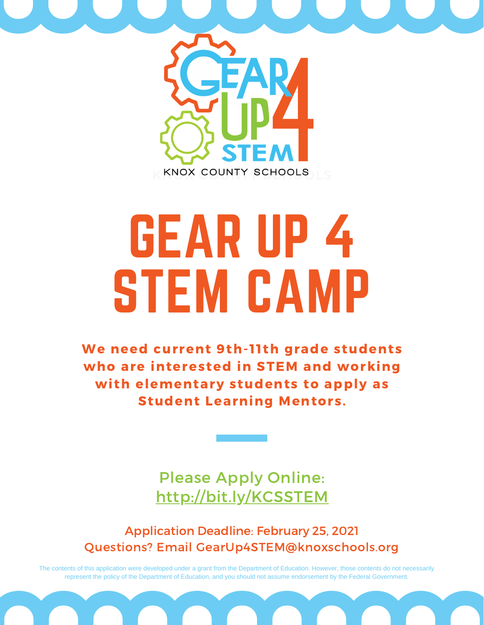

# GEAR UP 4 STEM CAMP

We need current 9th-11th grade students who are interested in STEM and working with elementary students to apply as Student Learning Mentors.

> Please Apply Online: [http://bit.ly/KCSSTEM](http://bitly.com/KCSSTEM)

Application Deadline: February 25, 2021 Questions? Email GearUp4STEM@knoxschools.org

The contents of this application were developed under a grant from the Department of Education. However, those contents do not necessarily represent the policy of the Department of Education, and you should not assume endorsement by the Federal Government.